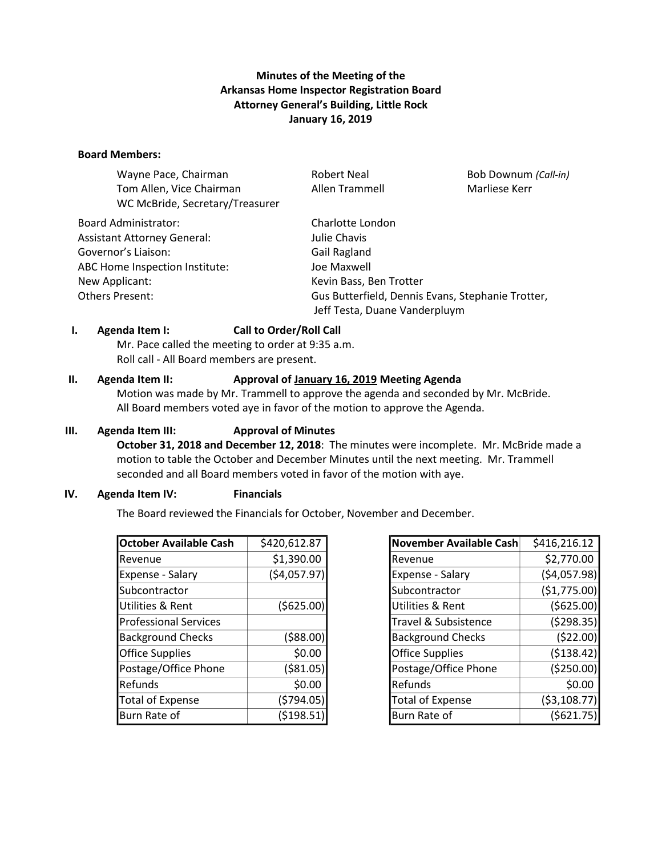# **Minutes of the Meeting of the Arkansas Home Inspector Registration Board Attorney General's Building, Little Rock January 16, 2019**

#### **Board Members:**

| Wayne Pace, Chairman               | <b>Robert Neal</b>                                                                 | Bob Downum (Call-in) |
|------------------------------------|------------------------------------------------------------------------------------|----------------------|
| Tom Allen, Vice Chairman           | Allen Trammell                                                                     | Marliese Kerr        |
| WC McBride, Secretary/Treasurer    |                                                                                    |                      |
| <b>Board Administrator:</b>        | Charlotte London                                                                   |                      |
| <b>Assistant Attorney General:</b> | Julie Chavis                                                                       |                      |
| Governor's Liaison:                | Gail Ragland                                                                       |                      |
| ABC Home Inspection Institute:     | Joe Maxwell                                                                        |                      |
| New Applicant:                     | Kevin Bass, Ben Trotter                                                            |                      |
| Others Present:                    | Gus Butterfield, Dennis Evans, Stephanie Trotter,<br>Jeff Testa, Duane Vanderpluym |                      |
|                                    |                                                                                    |                      |

#### **I. Agenda Item I: Call to Order/Roll Call**

Mr. Pace called the meeting to order at 9:35 a.m. Roll call - All Board members are present.

#### **II. Agenda Item II: Approval of January 16, 2019 Meeting Agenda**

Motion was made by Mr. Trammell to approve the agenda and seconded by Mr. McBride. All Board members voted aye in favor of the motion to approve the Agenda.

### **III. Agenda Item III: Approval of Minutes**

**October 31, 2018 and December 12, 2018**: The minutes were incomplete. Mr. McBride made a motion to table the October and December Minutes until the next meeting. Mr. Trammell seconded and all Board members voted in favor of the motion with aye.

### **IV. Agenda Item IV: Financials**

The Board reviewed the Financials for October, November and December.

| <b>October Available Cash</b> | \$420,612.87 |
|-------------------------------|--------------|
| Revenue                       | \$1,390.00   |
| <b>Expense - Salary</b>       | (\$4,057.97) |
| Subcontractor                 |              |
| Utilities & Rent              | ( \$625.00)  |
| <b>Professional Services</b>  |              |
| <b>Background Checks</b>      | ( \$88.00)   |
| <b>Office Supplies</b>        | \$0.00       |
| Postage/Office Phone          | ( \$81.05)   |
| Refunds                       | \$0.00       |
| <b>Total of Expense</b>       | (5794.05)    |
| Burn Rate of                  | (5198.51)    |

| <b>November Available Cash</b> | \$416,216.12  |
|--------------------------------|---------------|
| Revenue                        | \$2,770.00    |
| Expense - Salary               | (\$4,057.98)  |
| Subcontractor                  | (51,775.00)   |
| Utilities & Rent               | ( \$625.00)   |
| Travel & Subsistence           | (5298.35)     |
| <b>Background Checks</b>       | (522.00)      |
| <b>Office Supplies</b>         | (\$138.42)    |
| Postage/Office Phone           | (\$250.00)    |
| Refunds                        | \$0.00        |
| <b>Total of Expense</b>        | ( \$3,108.77) |
| Burn Rate of                   | (5621.75      |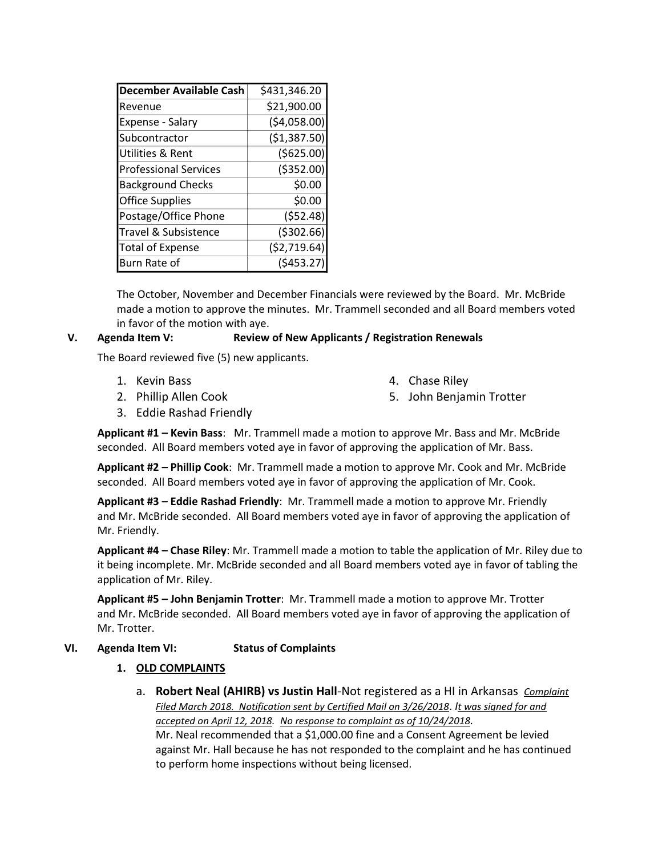| December Available Cash      | \$431,346.20 |
|------------------------------|--------------|
| Revenue                      | \$21,900.00  |
| Expense - Salary             | (54,058.00)  |
| Subcontractor                | (\$1,387.50) |
| Utilities & Rent             | (5625.00)    |
| <b>Professional Services</b> | ( \$352.00)  |
| <b>Background Checks</b>     | \$0.00       |
| <b>Office Supplies</b>       | \$0.00       |
| Postage/Office Phone         | (552.48)     |
| Travel & Subsistence         | ( \$302.66)  |
| <b>Total of Expense</b>      | (52, 719.64) |
| Burn Rate of                 | (5453.27)    |

The October, November and December Financials were reviewed by the Board. Mr. McBride made a motion to approve the minutes. Mr. Trammell seconded and all Board members voted in favor of the motion with aye.

### **V. Agenda Item V: Review of New Applicants / Registration Renewals**

The Board reviewed five (5) new applicants.

1. Kevin Bass

4. Chase Riley

2. Phillip Allen Cook

5. John Benjamin Trotter

3. Eddie Rashad Friendly

**Applicant #1 – Kevin Bass**: Mr. Trammell made a motion to approve Mr. Bass and Mr. McBride seconded. All Board members voted aye in favor of approving the application of Mr. Bass.

**Applicant #2 – Phillip Cook**: Mr. Trammell made a motion to approve Mr. Cook and Mr. McBride seconded. All Board members voted aye in favor of approving the application of Mr. Cook.

**Applicant #3 – Eddie Rashad Friendly**: Mr. Trammell made a motion to approve Mr. Friendly and Mr. McBride seconded. All Board members voted aye in favor of approving the application of Mr. Friendly.

**Applicant #4 – Chase Riley**: Mr. Trammell made a motion to table the application of Mr. Riley due to it being incomplete. Mr. McBride seconded and all Board members voted aye in favor of tabling the application of Mr. Riley.

**Applicant #5 – John Benjamin Trotter**: Mr. Trammell made a motion to approve Mr. Trotter and Mr. McBride seconded. All Board members voted aye in favor of approving the application of Mr. Trotter.

### **VI. Agenda Item VI: Status of Complaints**

# **1. OLD COMPLAINTS**

a. **Robert Neal (AHIRB) vs Justin Hall**-Not registered as a HI in Arkansas *Complaint Filed March 2018. Notification sent by Certified Mail on 3/26/2018*. *It was signed for and accepted on April 12, 2018. No response to complaint as of 10/24/2018.* Mr. Neal recommended that a \$1,000.00 fine and a Consent Agreement be levied against Mr. Hall because he has not responded to the complaint and he has continued to perform home inspections without being licensed.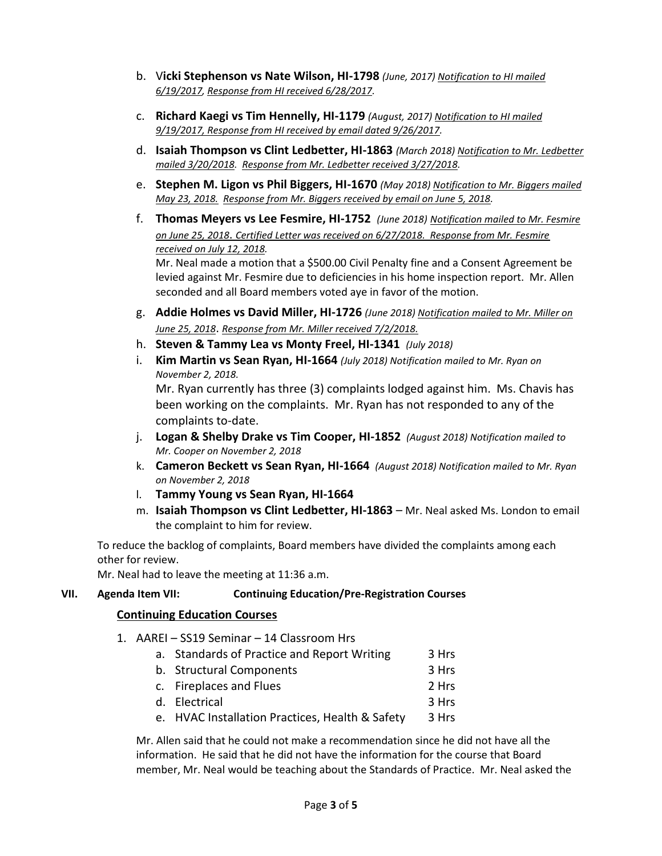- b. V**icki Stephenson vs Nate Wilson, HI-1798** *(June, 2017) Notification to HI mailed 6/19/2017, Response from HI received 6/28/2017.*
- c. **Richard Kaegi vs Tim Hennelly, HI-1179** *(August, 2017) Notification to HI mailed 9/19/2017, Response from HI received by email dated 9/26/2017.*
- d. **Isaiah Thompson vs Clint Ledbetter, HI-1863** *(March 2018) Notification to Mr. Ledbetter mailed 3/20/2018. Response from Mr. Ledbetter received 3/27/2018.*
- e. **Stephen M. Ligon vs Phil Biggers, HI-1670** *(May 2018) Notification to Mr. Biggers mailed May 23, 2018. Response from Mr. Biggers received by email on June 5, 2018.*
- f. **Thomas Meyers vs Lee Fesmire, HI-1752** *(June 2018) Notification mailed to Mr. Fesmire on June 25, 2018*. *Certified Letter was received on 6/27/2018. Response from Mr. Fesmire received on July 12, 2018.* Mr. Neal made a motion that a \$500.00 Civil Penalty fine and a Consent Agreement be levied against Mr. Fesmire due to deficiencies in his home inspection report. Mr. Allen
- g. **Addie Holmes vs David Miller, HI-1726** *(June 2018) Notification mailed to Mr. Miller on June 25, 2018*. *Response from Mr. Miller received 7/2/2018.*
- h. **Steven & Tammy Lea vs Monty Freel, HI-1341** *(July 2018)*

seconded and all Board members voted aye in favor of the motion.

i. **Kim Martin vs Sean Ryan, HI-1664** *(July 2018) Notification mailed to Mr. Ryan on November 2, 2018.* Mr. Ryan currently has three (3) complaints lodged against him. Ms. Chavis has

been working on the complaints. Mr. Ryan has not responded to any of the complaints to-date.

- j. **Logan & Shelby Drake vs Tim Cooper, HI-1852** *(August 2018) Notification mailed to Mr. Cooper on November 2, 2018*
- k. **Cameron Beckett vs Sean Ryan, HI-1664** *(August 2018) Notification mailed to Mr. Ryan on November 2, 2018*
- l. **Tammy Young vs Sean Ryan, HI-1664**
- m. **Isaiah Thompson vs Clint Ledbetter, HI-1863**  Mr. Neal asked Ms. London to email the complaint to him for review.

To reduce the backlog of complaints, Board members have divided the complaints among each other for review.

Mr. Neal had to leave the meeting at 11:36 a.m.

# **VII. Agenda Item VII: Continuing Education/Pre-Registration Courses**

# **Continuing Education Courses**

- 1. AAREI SS19 Seminar 14 Classroom Hrs
	- a. Standards of Practice and Report Writing 3 Hrs b. Structural Components 3 Hrs c. Fireplaces and Flues 2 Hrs d. Electrical 3 Hrs
	- e. HVAC Installation Practices, Health & Safety 3 Hrs

Mr. Allen said that he could not make a recommendation since he did not have all the information. He said that he did not have the information for the course that Board member, Mr. Neal would be teaching about the Standards of Practice. Mr. Neal asked the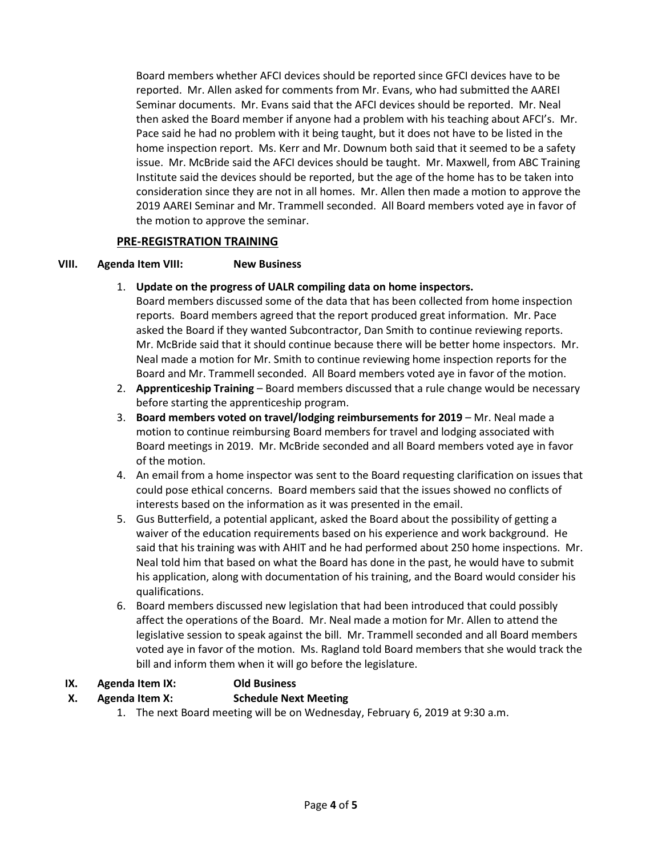Board members whether AFCI devices should be reported since GFCI devices have to be reported. Mr. Allen asked for comments from Mr. Evans, who had submitted the AAREI Seminar documents. Mr. Evans said that the AFCI devices should be reported. Mr. Neal then asked the Board member if anyone had a problem with his teaching about AFCI's. Mr. Pace said he had no problem with it being taught, but it does not have to be listed in the home inspection report. Ms. Kerr and Mr. Downum both said that it seemed to be a safety issue. Mr. McBride said the AFCI devices should be taught. Mr. Maxwell, from ABC Training Institute said the devices should be reported, but the age of the home has to be taken into consideration since they are not in all homes. Mr. Allen then made a motion to approve the 2019 AAREI Seminar and Mr. Trammell seconded. All Board members voted aye in favor of the motion to approve the seminar.

### **PRE-REGISTRATION TRAINING**

### **VIII. Agenda Item VIII: New Business**

1. **Update on the progress of UALR compiling data on home inspectors.** 

Board members discussed some of the data that has been collected from home inspection reports. Board members agreed that the report produced great information. Mr. Pace asked the Board if they wanted Subcontractor, Dan Smith to continue reviewing reports. Mr. McBride said that it should continue because there will be better home inspectors. Mr. Neal made a motion for Mr. Smith to continue reviewing home inspection reports for the Board and Mr. Trammell seconded. All Board members voted aye in favor of the motion.

- 2. **Apprenticeship Training** Board members discussed that a rule change would be necessary before starting the apprenticeship program.
- 3. **Board members voted on travel/lodging reimbursements for 2019** Mr. Neal made a motion to continue reimbursing Board members for travel and lodging associated with Board meetings in 2019. Mr. McBride seconded and all Board members voted aye in favor of the motion.
- 4. An email from a home inspector was sent to the Board requesting clarification on issues that could pose ethical concerns. Board members said that the issues showed no conflicts of interests based on the information as it was presented in the email.
- 5. Gus Butterfield, a potential applicant, asked the Board about the possibility of getting a waiver of the education requirements based on his experience and work background. He said that his training was with AHIT and he had performed about 250 home inspections. Mr. Neal told him that based on what the Board has done in the past, he would have to submit his application, along with documentation of his training, and the Board would consider his qualifications.
- 6. Board members discussed new legislation that had been introduced that could possibly affect the operations of the Board. Mr. Neal made a motion for Mr. Allen to attend the legislative session to speak against the bill. Mr. Trammell seconded and all Board members voted aye in favor of the motion. Ms. Ragland told Board members that she would track the bill and inform them when it will go before the legislature.

# **IX. Agenda Item IX: Old Business**

# **X. Agenda Item X: Schedule Next Meeting**

1. The next Board meeting will be on Wednesday, February 6, 2019 at 9:30 a.m.